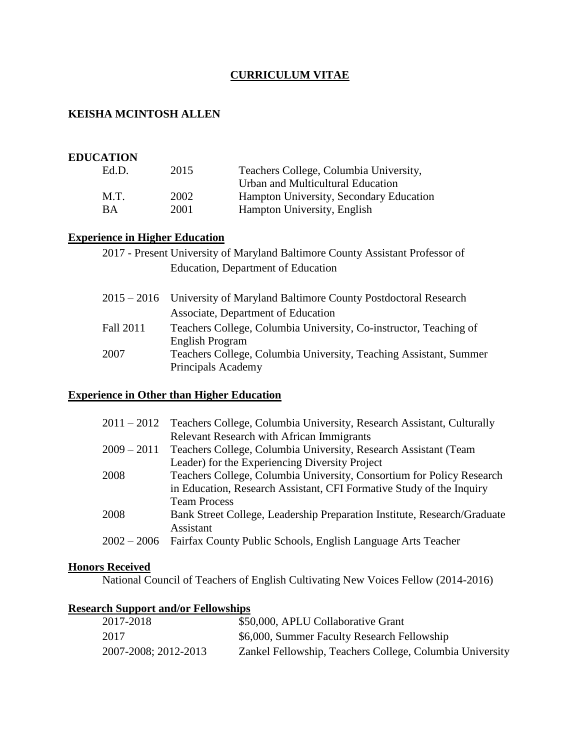## **CURRICULUM VITAE**

## **KEISHA MCINTOSH ALLEN**

#### **EDUCATION**

| Ed.D.     | 2015 | Teachers College, Columbia University,  |
|-----------|------|-----------------------------------------|
|           |      | Urban and Multicultural Education       |
| M.T.      | 2002 | Hampton University, Secondary Education |
| <b>BA</b> | 2001 | Hampton University, English             |
|           |      |                                         |

# **Experience in Higher Education**

| 2017 - Present University of Maryland Baltimore County Assistant Professor of |  |                                    |  |  |
|-------------------------------------------------------------------------------|--|------------------------------------|--|--|
|                                                                               |  | Education, Department of Education |  |  |

|           | 2015 – 2016 University of Maryland Baltimore County Postdoctoral Research |  |
|-----------|---------------------------------------------------------------------------|--|
|           | Associate, Department of Education                                        |  |
| Fall 2011 | Teachers College, Columbia University, Co-instructor, Teaching of         |  |
|           | English Program                                                           |  |
| 2007      | Teachers College, Columbia University, Teaching Assistant, Summer         |  |
|           | Principals Academy                                                        |  |

## **Experience in Other than Higher Education**

| $2011 - 2012$ | Teachers College, Columbia University, Research Assistant, Culturally    |
|---------------|--------------------------------------------------------------------------|
|               | <b>Relevant Research with African Immigrants</b>                         |
| $2009 - 2011$ | Teachers College, Columbia University, Research Assistant (Team          |
|               | Leader) for the Experiencing Diversity Project                           |
| 2008          | Teachers College, Columbia University, Consortium for Policy Research    |
|               | in Education, Research Assistant, CFI Formative Study of the Inquiry     |
|               | <b>Team Process</b>                                                      |
| 2008          | Bank Street College, Leadership Preparation Institute, Research/Graduate |
|               | Assistant                                                                |
| $2002 - 2006$ | Fairfax County Public Schools, English Language Arts Teacher             |
|               |                                                                          |

#### **Honors Received**

National Council of Teachers of English Cultivating New Voices Fellow (2014-2016)

### **Research Support and/or Fellowships**

| 2017-2018            | \$50,000, APLU Collaborative Grant                       |
|----------------------|----------------------------------------------------------|
| 2017                 | \$6,000, Summer Faculty Research Fellowship              |
| 2007-2008; 2012-2013 | Zankel Fellowship, Teachers College, Columbia University |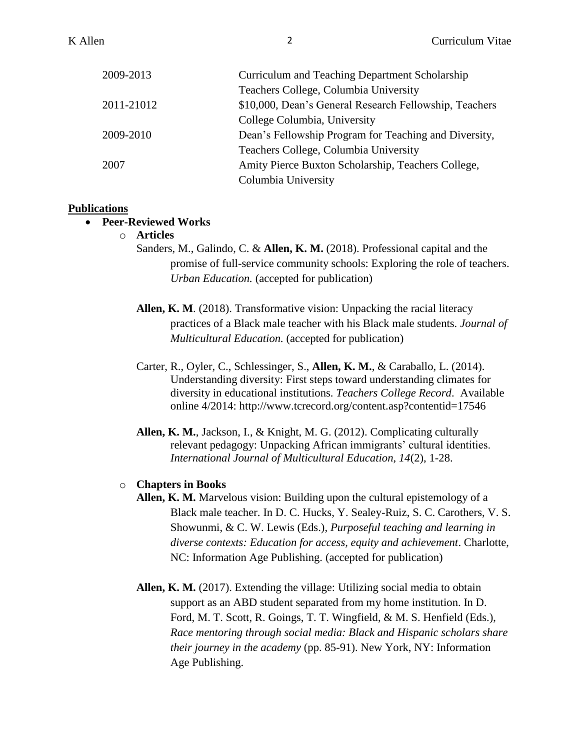| 2009-2013  | Curriculum and Teaching Department Scholarship         |
|------------|--------------------------------------------------------|
|            | Teachers College, Columbia University                  |
| 2011-21012 | \$10,000, Dean's General Research Fellowship, Teachers |
|            | College Columbia, University                           |
| 2009-2010  | Dean's Fellowship Program for Teaching and Diversity,  |
|            | Teachers College, Columbia University                  |
| 2007       | Amity Pierce Buxton Scholarship, Teachers College,     |
|            | Columbia University                                    |

### **Publications**

### • **Peer-Reviewed Works**

o **Articles**

Sanders, M., Galindo, C. & **Allen, K. M.** (2018). Professional capital and the promise of full-service community schools: Exploring the role of teachers. *Urban Education.* (accepted for publication)

**Allen, K. M**. (2018). Transformative vision: Unpacking the racial literacy practices of a Black male teacher with his Black male students*. Journal of Multicultural Education.* (accepted for publication)

Carter, R., Oyler, C., Schlessinger, S., **Allen, K. M.**, & Caraballo, L. (2014). Understanding diversity: First steps toward understanding climates for diversity in educational institutions. *Teachers College Record*. Available online 4/2014: http://www.tcrecord.org/content.asp?contentid=17546

**Allen, K. M.**, Jackson, I., & Knight, M. G. (2012). Complicating culturally relevant pedagogy: Unpacking African immigrants' cultural identities. *International Journal of Multicultural Education, 14*(2), 1-28.

#### o **Chapters in Books**

- **Allen, K. M.** Marvelous vision: Building upon the cultural epistemology of a Black male teacher. In D. C. Hucks, Y. Sealey-Ruiz, S. C. Carothers, V. S. Showunmi, & C. W. Lewis (Eds.), *Purposeful teaching and learning in diverse contexts: Education for access, equity and achievement*. Charlotte, NC: Information Age Publishing. (accepted for publication)
- **Allen, K. M.** (2017). Extending the village: Utilizing social media to obtain support as an ABD student separated from my home institution. In D. Ford, M. T. Scott, R. Goings, T. T. Wingfield, & M. S. Henfield (Eds.), *Race mentoring through social media: Black and Hispanic scholars share their journey in the academy* (pp. 85-91). New York, NY: Information Age Publishing.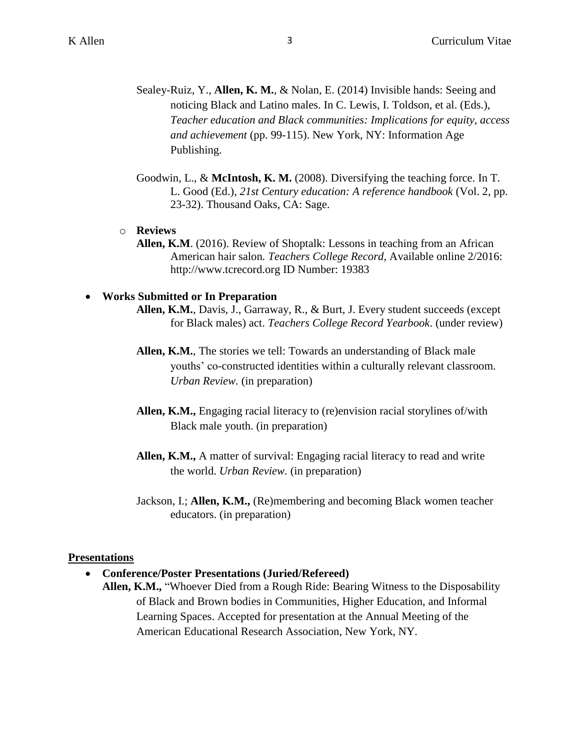- Sealey-Ruiz, Y., **Allen, K. M.**, & Nolan, E. (2014) Invisible hands: Seeing and noticing Black and Latino males. In C. Lewis, I. Toldson, et al. (Eds.), *Teacher education and Black communities: Implications for equity, access and achievement* (pp. 99-115). New York, NY: Information Age Publishing.
- Goodwin, L., & **McIntosh, K. M.** (2008). Diversifying the teaching force. In T. L. Good (Ed.), *21st Century education: A reference handbook* (Vol. 2, pp. 23-32). Thousand Oaks, CA: Sage.
- o **Reviews**
	- **Allen, K.M**. (2016). Review of Shoptalk: Lessons in teaching from an African American hair salon*. Teachers College Record*, Available online 2/2016: http://www.tcrecord.org ID Number: 19383

#### • **Works Submitted or In Preparation**

- **Allen, K.M.**, Davis, J., Garraway, R., & Burt, J. Every student succeeds (except for Black males) act. *Teachers College Record Yearbook*. (under review)
- **Allen, K.M.**, The stories we tell: Towards an understanding of Black male youths' co-constructed identities within a culturally relevant classroom. *Urban Review.* (in preparation)
- **Allen, K.M.,** Engaging racial literacy to (re)envision racial storylines of/with Black male youth. (in preparation)
- **Allen, K.M.,** A matter of survival: Engaging racial literacy to read and write the world. *Urban Review.* (in preparation)
- Jackson, I.; **Allen, K.M.,** (Re)membering and becoming Black women teacher educators. (in preparation)

#### **Presentations**

- **Conference/Poster Presentations (Juried/Refereed)**
	- **Allen, K.M.,** "Whoever Died from a Rough Ride: Bearing Witness to the Disposability of Black and Brown bodies in Communities, Higher Education, and Informal Learning Spaces. Accepted for presentation at the Annual Meeting of the American Educational Research Association, New York, NY.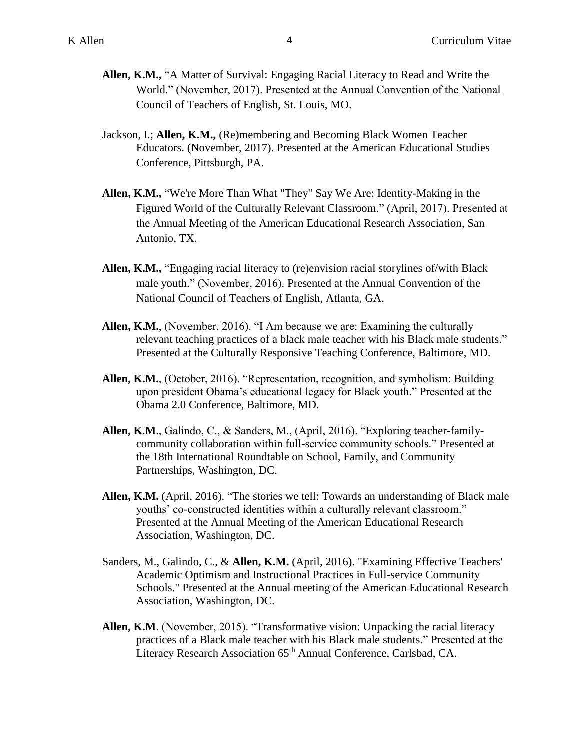- **Allen, K.M.,** "A Matter of Survival: Engaging Racial Literacy to Read and Write the World." (November, 2017). Presented at the Annual Convention of the National Council of Teachers of English, St. Louis, MO.
- Jackson, I.; **Allen, K.M.,** (Re)membering and Becoming Black Women Teacher Educators. (November, 2017). Presented at the American Educational Studies Conference, Pittsburgh, PA.
- **Allen, K.M.,** "We're More Than What "They" Say We Are: Identity-Making in the Figured World of the Culturally Relevant Classroom." (April, 2017). Presented at the Annual Meeting of the American Educational Research Association, San Antonio, TX.
- **Allen, K.M.,** "Engaging racial literacy to (re)envision racial storylines of/with Black male youth." (November, 2016). Presented at the Annual Convention of the National Council of Teachers of English, Atlanta, GA.
- **Allen, K.M.**, (November, 2016). "I Am because we are: Examining the culturally relevant teaching practices of a black male teacher with his Black male students." Presented at the Culturally Responsive Teaching Conference, Baltimore, MD.
- **Allen, K.M.**, (October, 2016). "Representation, recognition, and symbolism: Building upon president Obama's educational legacy for Black youth." Presented at the Obama 2.0 Conference, Baltimore, MD.
- **Allen, K**.**M**., Galindo, C., & Sanders, M., (April, 2016). "Exploring teacher-familycommunity collaboration within full-service community schools." Presented at the 18th International Roundtable on School, Family, and Community Partnerships, Washington, DC.
- **Allen, K.M.** (April, 2016). "The stories we tell: Towards an understanding of Black male youths' co-constructed identities within a culturally relevant classroom." Presented at the Annual Meeting of the American Educational Research Association, Washington, DC.
- Sanders, M., Galindo, C., & **Allen, K.M.** (April, 2016). "Examining Effective Teachers' Academic Optimism and Instructional Practices in Full-service Community Schools." Presented at the Annual meeting of the American Educational Research Association, Washington, DC.
- **Allen, K.M**. (November, 2015). "Transformative vision: Unpacking the racial literacy practices of a Black male teacher with his Black male students." Presented at the Literacy Research Association 65<sup>th</sup> Annual Conference, Carlsbad, CA.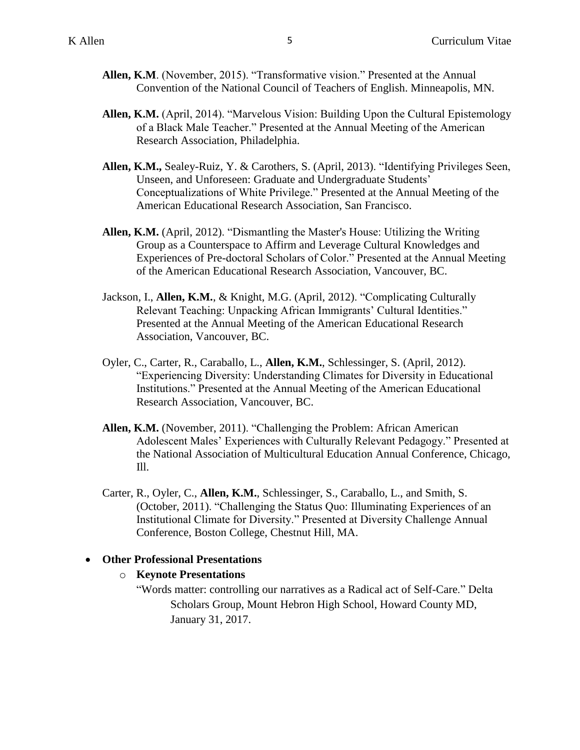- **Allen, K.M**. (November, 2015). "Transformative vision." Presented at the Annual Convention of the National Council of Teachers of English. Minneapolis, MN.
- **Allen, K.M.** (April, 2014). "Marvelous Vision: Building Upon the Cultural Epistemology of a Black Male Teacher." Presented at the Annual Meeting of the American Research Association, Philadelphia.
- **Allen, K.M.,** Sealey-Ruiz, Y. & Carothers, S. (April, 2013). "Identifying Privileges Seen, Unseen, and Unforeseen: Graduate and Undergraduate Students' Conceptualizations of White Privilege." Presented at the Annual Meeting of the American Educational Research Association, San Francisco.
- **Allen, K.M.** (April, 2012). "Dismantling the Master's House: Utilizing the Writing Group as a Counterspace to Affirm and Leverage Cultural Knowledges and Experiences of Pre-doctoral Scholars of Color." Presented at the Annual Meeting of the American Educational Research Association, Vancouver, BC.
- Jackson, I., **Allen, K.M.**, & Knight, M.G. (April, 2012). "Complicating Culturally Relevant Teaching: Unpacking African Immigrants' Cultural Identities." Presented at the Annual Meeting of the American Educational Research Association, Vancouver, BC.
- Oyler, C., Carter, R., Caraballo, L., **Allen, K.M.**, Schlessinger, S. (April, 2012). "Experiencing Diversity: Understanding Climates for Diversity in Educational Institutions." Presented at the Annual Meeting of the American Educational Research Association, Vancouver, BC.
- **Allen, K.M.** (November, 2011). "Challenging the Problem: African American Adolescent Males' Experiences with Culturally Relevant Pedagogy." Presented at the National Association of Multicultural Education Annual Conference, Chicago, Ill.
- Carter, R., Oyler, C., **Allen, K.M.**, Schlessinger, S., Caraballo, L., and Smith, S. (October, 2011). "Challenging the Status Quo: Illuminating Experiences of an Institutional Climate for Diversity." Presented at Diversity Challenge Annual Conference, Boston College, Chestnut Hill, MA.

### • **Other Professional Presentations**

### o **Keynote Presentations**

"Words matter: controlling our narratives as a Radical act of Self-Care." Delta Scholars Group, Mount Hebron High School, Howard County MD, January 31, 2017.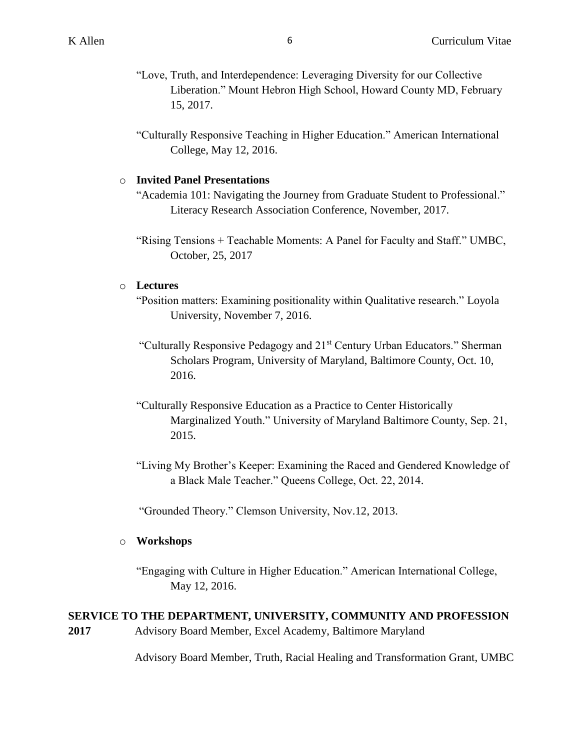- "Love, Truth, and Interdependence: Leveraging Diversity for our Collective Liberation." Mount Hebron High School, Howard County MD, February 15, 2017.
- "Culturally Responsive Teaching in Higher Education." American International College, May 12, 2016.

### o **Invited Panel Presentations**

"Academia 101: Navigating the Journey from Graduate Student to Professional." Literacy Research Association Conference, November, 2017.

"Rising Tensions + Teachable Moments: A Panel for Faculty and Staff." UMBC, October, 25, 2017

### o **Lectures**

- "Position matters: Examining positionality within Qualitative research." Loyola University, November 7, 2016.
- "Culturally Responsive Pedagogy and 21<sup>st</sup> Century Urban Educators." Sherman Scholars Program, University of Maryland, Baltimore County, Oct. 10, 2016.
- "Culturally Responsive Education as a Practice to Center Historically Marginalized Youth." University of Maryland Baltimore County, Sep. 21, 2015.
- "Living My Brother's Keeper: Examining the Raced and Gendered Knowledge of a Black Male Teacher." Queens College, Oct. 22, 2014.

"Grounded Theory." Clemson University, Nov.12, 2013.

### o **Workshops**

"Engaging with Culture in Higher Education." American International College, May 12, 2016.

# **SERVICE TO THE DEPARTMENT, UNIVERSITY, COMMUNITY AND PROFESSION**

**2017** Advisory Board Member, Excel Academy, Baltimore Maryland

Advisory Board Member, Truth, Racial Healing and Transformation Grant, UMBC